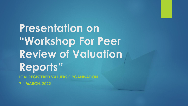**Presentation on "Workshop For Peer Review of Valuation Reports***"* **ICAI REGISTERED VALUERS ORGANISATION 7 TH MARCH, 2022**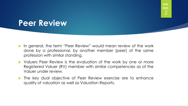## **Peer Review**

- In general, the term "Peer Review" would mean review of the work done by a professional, by another member (peer) of the same profession with similar standing.
- Valuers Peer Review is the evaluation of the work by one or more Registered Valuer (RV) member with similar competencies as of the Valuer under review.
- **The key dual objective of Peer Review exercise are to enhance** quality of valuation as well as Valuation Reports.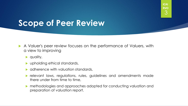## **Scope of Peer Review**

- A Valuer's peer review focuses on the performance of Valuers, with a view to improving
	- $\blacktriangleright$  quality,
	- upholding ethical standards,
	- adherence with valuation standards,
	- relevant laws, regulations, rules, guidelines and amendments made there under from time to time,
	- methodologies and approaches adopted for conducting valuation and preparation of valuation report.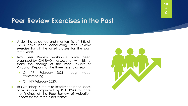### **Peer Review Exercises in the Past**

- **Demonment in the guidance and mentorship of IBBI, all** RVOs have been conducting Peer Review exercise for all the asset classes for the past three years.
- Two Peer Review workshops have been organized by ICAI RVO in association with IBBI to share the findings of the Peer Review of Valuation Reports for the three asset classes:-
	- On 17<sup>th</sup> February 2021 through video conferencing
	- $\triangleright$  On 14<sup>th</sup> February 2020.
- This workshop is the third installment in the series of workshops organized by ICAI RVO to share the findings of the Peer Review of Valuation Reports for the three asset classes.

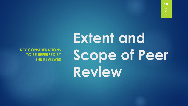**KEY CONSIDERATIONS TO BE REFERRED BY THE REVIEWER**

# **Extent and Scope of Peer Review**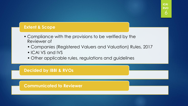#### **Extent & Scope**

- Compliance with the provisions to be verified by the Reviewer of
	- Companies (Registered Valuers and Valuation) Rules, 2017
	- ICAI VS and IVS
	- Other applicable rules, regulations and guidelines

### **Decided by IBBI & RVOs**

**Communicated to Reviewer**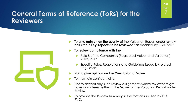### **General Terms of Reference (ToRs) for the Reviewers**



- To give **opinion on the quality** of the Valuation Report under review basis the " **Key Aspects to be reviewed"** as decided by ICAI RVO"
- To **review compliance with** the
	- Rule 8 of the Companies (Registered Valuer and Valuation) Rules, 2017
	- Specific Rules, Regulations and Guidelines issued by related **Regulators**
- **Not to give opinion on the Conclusion of Value**
- To maintain confidentiality;
- Not to accept any such review assignments where reviewer might have any interest either in the Valuer or the Valuation Report under Review.
- To provide the Review summary in the format supplied by ICAI RVO.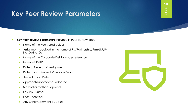### Key Peer Review Parameters **8**8



#### **Key Peer Review parameters** included in Peer Review Report

- Name of the Registered Valuer
- Assignment received in the name of RV/Partnership/Firm/LLP/Pvt Ltd Co/Ltd Co
- Name of the Corporate Debtor under reference
- Mame of IP/IRP
- Date of Receipt of Assignment
- **Date of submission of Valuation Report**
- **The Valuation Date**
- **Approach/approaches adopted**
- Method or methods applied
- $\blacktriangleright$  Key inputs used
- **Fees Received**
- Any Other Comment by Valuer

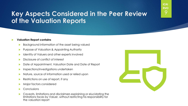### **Key Aspects Considered in the Peer Review of the Valuation Reports**

#### **Valuation Report contains**

- Background information of the asset being valued
- **Purpose of Valuation & Appointing Authority**
- ▶ Identity of Valuers and other experts involved
- Disclosure of conflict of interest
- ▶ Date of Appointment, Valuation Date and Date of Report
- **Inspections/investigations undertaken**
- Mature, source of information used or relied upon
- $\triangleright$  Restrictions on use of report, if any
- **Major factors considered**
- **Conclusions**
- **Caveats, limitations and disclaimers explaining or elucidating the** limitations faces by Valuer, without restricting his responsibility for the valuation report

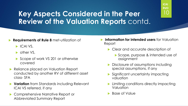### Key Aspects Considered in the Peer **10 Review of the Valuation Reports** contd.

#### **Requirements of Rule 8** met-utilization of

- $\blacktriangleright$  ICAI VS,
- **b** other VS,
- Scope of work VS 201 or otherwise covered
- Reliance placed on Valuation Report conducted by another RV of different asset class- SFA
- **Variation** from Standards including Relevant ICAI VS referred, if any
- Comprehensive Narrative Report or Abbreviated Summary Report
- **Information for intended users** for Valuation Report
	- Clear and accurate description of
		- Scope, purpose & intended use of assignment
	- Disclosure of assumptions including special assumptions, if any
	- Significant uncertainty impacting valuation
	- Limiting conditions directly impacting Valuation
	- **Base of Value**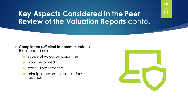### **Key Aspects Considered in the Peer Review of the Valuation Reports** contd.

#### **Compliance sufficient to communicate** to the intended users

- Scope of valuation assignment,
- work performed,
- conclusions reached,
- principal reasons for conclusions reached

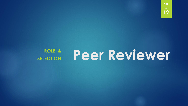# **ROLE &**

# **ROLE & Peer Reviewer**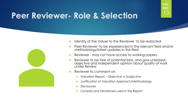# **Peer Reviewer- Role & Selection** <sup>13</sup>



- Identity of the Valuer to the Reviewer to be redacted
- Peer Reviewer to be experienced in the relevant field and/or methodology/latest updates in the filed
- Reviewer may not have access to working papers
- Reviewer to be free of potential bias, and give unbiased, objective and independent opinion about quality of work under Review
- Reviewer to comment on
	- Valuation Report Objective vs Subjective
	- Justification of Valuation Approach/Methodology
	- **Disclosures**
	- Caveats and Disclaimers used in the Report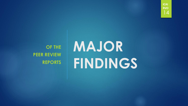

**OF THE PEER REVIEW REPORTS**

# **MAJOR FINDINGS**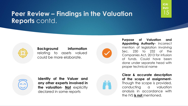

**Background information** relating to assets valued could be more elaborate.



**Purpose of Valuation and Appointing Authority-** Incorrect mention of legislation involving Sec. 230 to 232 of the Companies Act, 2013 for infusion of funds. Could have been done under separate head with proper technical name

15

**ICAI RVO**



**Identity of the Valuer and any other experts involved in the valuation**- **Not** explicitly declared in some reports



**Clear & accurate description of the scope of assignment-**Though the scope is provided, conducting a valuation analysis in accordance with the IVS **is not** mentioned.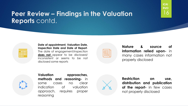

**Date of appointment, Valuation Date, Inspection Date and Date of Report**-The date of engagement/inspection **does not** appear to be disclosed/ inconsistent or seems to be not disclosed some reports

| $\mathcal{L}^{\text{max}}_{\text{max}}$ and $\mathcal{L}^{\text{max}}_{\text{max}}$ and $\mathcal{L}^{\text{max}}_{\text{max}}$ and $\mathcal{L}^{\text{max}}_{\text{max}}$ |  |
|-----------------------------------------------------------------------------------------------------------------------------------------------------------------------------|--|
|                                                                                                                                                                             |  |
| <b>State State</b><br><b>State State</b>                                                                                                                                    |  |
|                                                                                                                                                                             |  |

**Nature & source of information relied upon-** in many cases information not properly disclosed

16

**ICAI RVO**



**Valuation approaches, methods and reasoning-** in some cases no clear indication of valuation approach, requires proper reasoning



**Restriction on use, distribution and publication of the report-** in few cases not properly disclosed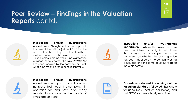### **Peer Review – Findings in the Valuation Reports** contd.



**Inspections and/or Investigations undertaken**- Though book value approach has been taken with adjustment for fair value of investments, a key investment with a material impact to the valuation has been valued below carrying value - no clarification provided as to whether the said investment has been impaired by the company or if not, what is the rationale for accepting this value



**Inspections and/or Investigations undertaken**- Where the investment has been considered at a significantly lower than carrying value as per books, no comments on whether the carrying value has been impaired by the company or not is included and the same could have been more elaborate



**Inspections and/or Investigations undertaken**- Analysis of past financials **not** presented though the company is in operation for long now. Also, many reports do not contain the details of investigation done.



**Procedures adopted in carrying out the valuation standards followed -**Rationale for using NAV (cost as per books) and not PECV etc., **not** clearly explained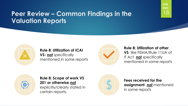### **Peer Review – Common Findings in the Valuation Reports**



**Rule 8: Utilization of ICAI VS- not** specifically mentioned in some reports



#### **Rule 8: Utilization of other VS**- like FEMA/Rule 11UA of IT Act **not** specifically mentioned in some reports

18

**ICAI RVO**



**Rule 8: Scope of work VS 201 or otherwise**-**not** explicitly/clearly stated in certain reports.



**Fees received for the assignment**- **not** mentioned in some reports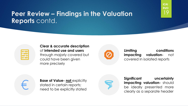**Clear & accurate description**  of **intended use and users**  through majorly covered but could have been given more precisely



**Limiting conditions impacting valuation-** not covered in isolated reports

19

**ICAI RVO**



**Base of Value- not** explicitly stated in certain reports; need to be explicitly stated

**Significant uncertainty impacting valuation-** should be ideally presented more clearly as a separate header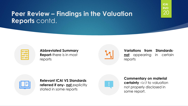

#### **Abbreviated Summary Report-**there is in most reports



**Variations from Standardsnot** appearing in certain reports

20

**ICAI RVO**



**Relevant ICAI VS Standards referred if any- not** explicitly stated in some reports



**Commentary on material certainty** –i.r.t to valuation not properly disclosed in some report.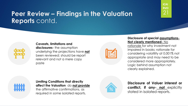### **Caveats, limitations and**

**disclosures-** the assumption underlying the projections have **not** been reviewed; should be report relevant and not a mere copy paste



#### **Disclosure of special assumptions-Not clearly mentioned-** No

21

**ICAI RVO**

rationale for why investment not impaired in books; rationale for considering volatility at 0.001% not appropriate and may need to be considered more appropriately. Logic behind assumption not clearly explained.



**Limiting Conditions that directly affect the Valuation** do **not provide**  the affirmative confirmations, as required in some isolated reports.



**Disclosure of Valuer interest or conflict, if any- not** explicitly stated in isolated reports.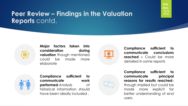### **Peer Review – Findings in the Valuation Reports** contd.



**Major factors taken into consideration during valuation** though mentioned could be made more elaborate



**Compliance sufficient to communicate conclusions reached –** Could be more detailed in some reports



**Compliance sufficient to communicate work performed**-Analysis of historical information should have been ideally included .

**Compliance sufficient to communicate principal reasons for results reached**though implied but could be made more explicit for better understanding of end users.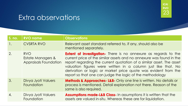| S. no.           | <b>RVO name</b>                                                 | <b>Observations</b>                                                                                                                                                                                                                                                                                                                                                                                                    |
|------------------|-----------------------------------------------------------------|------------------------------------------------------------------------------------------------------------------------------------------------------------------------------------------------------------------------------------------------------------------------------------------------------------------------------------------------------------------------------------------------------------------------|
|                  | <b>CVSRTA RVO</b>                                               | Relevant asset standard referred to, if any, should also be<br>mentioned separately.                                                                                                                                                                                                                                                                                                                                   |
| 2.               | <b>RVO</b><br>Estate Managers &<br><b>Appraisals Foundation</b> | <b>Extent of investigation-</b> There is no annexure as regards to the<br>current price of the similar assets and no annexure was found in the<br>report regarding the current quotation of a similar asset. The asset<br>valuation figures were written in a column just like that. No<br>derivation or logic or market price quote was evident from the<br>report so that one can judge the logic of the methodology |
| 3.               | Divya Jyoti Valuers<br>Foundation                               | <b>Methods &amp; Approaches- L&amp;B-</b> Only one line is written. No details or<br>process is mentioned. Detail explanation not there. Reason of the<br>same is also required.                                                                                                                                                                                                                                       |
| $\overline{4}$ . | Divya Jyoti Valuers<br>Foundation                               | Assumptions made-L&B Class- In assumptions it is written that the<br>assets are valued in-situ. Whereas these are for liquidation.                                                                                                                                                                                                                                                                                     |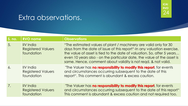| S. no.           | <b>RVO name</b>                                             | <b>Observations</b>                                                                                                                                                                                                                                                                                                                                             |
|------------------|-------------------------------------------------------------|-----------------------------------------------------------------------------------------------------------------------------------------------------------------------------------------------------------------------------------------------------------------------------------------------------------------------------------------------------------------|
| 5.               | <b>IIV</b> India<br><b>Registered Valuers</b><br>foundation | "The estimated values of plant / machinery are valid only for 30<br>days from the date of issue of this report"-In any valuation exercise,<br>the value of asset is tied to the date of valuation. So, after 5 years<br>even 10 years also - on the particular date, the value of the asset is<br>same. Hence, comment about validity is not regd. & not valid. |
| $\overline{6}$ . | <b>IIV</b> India<br><b>Registered Valuers</b><br>foundation | "The Valuer has <b>no responsibility to modify this report</b> , for events<br>and circumstances occurring subsequent to the date of this<br>report". This comment is abundant & excess caution.                                                                                                                                                                |
| 7.               | <b>IIV</b> India<br><b>Registered Valuers</b><br>foundation | "The Valuer has no responsibility to modify this report, for events<br>and circumstances occurring subsequent to the date of this report"<br>This comment is abundant & excess caution and not required too.                                                                                                                                                    |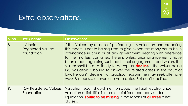| S. no. | <b>RVO name</b>                                             | <b>Observations</b>                                                                                                                                                                                                                                                                                                                                                                                                                                                                                                                                                                                                                           |
|--------|-------------------------------------------------------------|-----------------------------------------------------------------------------------------------------------------------------------------------------------------------------------------------------------------------------------------------------------------------------------------------------------------------------------------------------------------------------------------------------------------------------------------------------------------------------------------------------------------------------------------------------------------------------------------------------------------------------------------------|
| 8.     | <b>IIV</b> India<br><b>Registered Valuers</b><br>foundation | "The Valuer, by reason of performing this valuation and preparing<br>this report, is not to be required to give expert testimony nor to be in<br>attendance in court or at any government hearing with reference<br>to the matters contained herein, unless prior arrangements have<br>been made regarding such additional engagement and which, the<br>Valuer shall be at a liberty to accept or <b>decline</b> ". The valuer doing<br>IBC valuation is bound to answer the related cases in the court of<br>law. He can't decline. For practical reasons, he may seek alternate<br>ways & means or even alternate dates. But can't decline. |
| 9.     | <b>IOV Registered Valuers</b><br>Foundation                 | Valuation report should mention about the liabilities also, since<br>valuation of liabilities is more crucial for a company under<br>liquidation. Found to be missing in the reports of all three asset<br>classes.                                                                                                                                                                                                                                                                                                                                                                                                                           |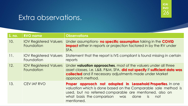| $S.$ no. | <b>RVO name</b>                             | <b>Observations</b>                                                                                                                                                                                                                                                           |
|----------|---------------------------------------------|-------------------------------------------------------------------------------------------------------------------------------------------------------------------------------------------------------------------------------------------------------------------------------|
| 10.      | <b>IOV Registered Valuers</b><br>Foundation | Under assumptions- no specific assumption taking in the COVID<br><b>impact</b> either in reports or projection factored in by the RV under<br>SFA.                                                                                                                            |
| 11.      | <b>IOV Registered Valuers</b><br>Foundation | Statement that the report is IVS compliant is found missing in certain<br>reports                                                                                                                                                                                             |
| 12.      | <b>IOV Registered Valuers</b><br>Foundation | Under valuation approaches, most of the valuers under all three<br>asset classes, i.e. L&B, P&M, SFA, did not specify if sufficient data was<br>collected and if necessary adjustments made under Market<br>approach method.                                                  |
| 13.      | <b>CEVIAF RVO</b>                           | Proper approach not adopted in Leasehold Properties. In one<br>valuation which is done based on the Comparable sale method is<br>used, but no referred comparable are mentioned, also on<br>what basis the comparison<br>done<br><b>WAS</b><br><i>is</i><br>not<br>mentioned. |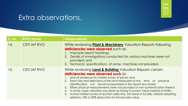| S. no. | <b>RVO name</b>   | <b>Observations</b>                                                                                                                                                                                                                                                                                                                                                                                                                                                                                                                                                                                                                 |
|--------|-------------------|-------------------------------------------------------------------------------------------------------------------------------------------------------------------------------------------------------------------------------------------------------------------------------------------------------------------------------------------------------------------------------------------------------------------------------------------------------------------------------------------------------------------------------------------------------------------------------------------------------------------------------------|
| 14.    | <b>CEVIAF RVO</b> | While reviewing <b>Plant &amp; Machinery</b> Valuation Reports following<br>deficiencies were observed such as:<br>1. Improper report headings;<br>2. Details of investigations conducted for various machines were not<br>provided; and<br>3. Technical specifications of some machines not provided.                                                                                                                                                                                                                                                                                                                              |
| 15.    | CEVIAF RVO        | While reviewing <b>Land &amp; Building</b> Valuation Reports certain<br>deficiencies were observed such as:<br>1. lack of evidence for market survey of prices; and<br>2. Exact size and directions of the land measured at the time of physical<br>identification not found incorporated in the report any where<br>3. Either physical measurements were not provided or non-authentication thereof.<br>4. In some cases valuation was done as Going Concern Value instead of HABU.<br>5. Actual market survey of auction sales was not done in locality, before adopting<br>arbitrary 15% or 30% deduction for forced sale value. |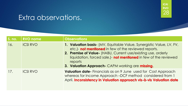| S. no. | <b>RVO name</b> | <b>Observations</b>                                                                                                                                                                                                                                                                                                                    |
|--------|-----------------|----------------------------------------------------------------------------------------------------------------------------------------------------------------------------------------------------------------------------------------------------------------------------------------------------------------------------------------|
| 16.    | <b>ICSI RVO</b> | 1. Valuation basis- (MV, Equitable Value, Synergistic Value, LV, FV,<br>etc.) <b>not mentioned</b> in few of the reviewed reports.<br>2. Premise of Value- (HABU, Current use/existing use, orderly<br>liquidation, forced sale.)- not mentioned in few of the reviewed<br>reports<br>3. Valuation Approach- CAPM working are missing. |
| 17.    | <b>ICSI RVO</b> | <b>Valuation date-</b> Financials as on 9 June used for Cost Approach<br>whereas for Income Approach -DCF method considered from 1<br>April Inconsistency in Valuation approach vis-à-vis Valuation date                                                                                                                               |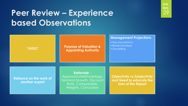## **Peer Review – Experience based Observations**



29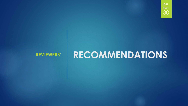# **REVIEWERS' RECOMMENDATIONS**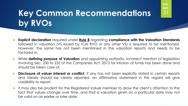# **Key Common Recommendations** <sup>31</sup> **by RVOs**

 **Explicit declaration** required under **Rule 8** regarding **compliance with the Valuation Standards** followed in valuation (VS issued by ICAI RVO or any other VS) is required to be mentioned. However, the same has not been mentioned in the valuation reports and needs to be factored in.

- While **defining purpose of Valuation** and appointing authority, incorrect mention of legislation involving Sec. 230 to 232 of the Companies Act, 2013 for infusion of funds has been done and should be taken care of.
- **Disclosure of valuer interest or conflict**, if any has not been explicitly stated in certain reports and ideally should be clearly reported. an affirmative statement in this regard will give credibility to report.
- It may also be prudent for the Registered Valuer member to draw the client's attention to the fact that values change over time, and that a valuation given on a particular date may not be valid on an earlier or later date.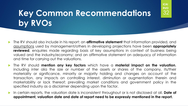# **Key Common Recommendations** <sup>32</sup> **by RVOs**

 The RV should also include in his report: an **affirmative statement** that information provided, and assumptions used by management/others in developing projections have been **appropriately reviewed**, enquiries made regarding basis of key assumptions in context of business being valued and the industry/economy; and an affirmative statement on adequacy of information and time for carrying out the valuations.

- The RV should **mention any key factors** which have a **material impact on the valuation**, including inter alia the size or number of the assets or shares of the company, its/their materiality or significance, minority or majority holding and changes on account of the transaction, any impacts on controlling interest, diminution or augmentation therein and marketability or lack thereof; prevailing market conditions and government policy in the specified industry as a disclaimer depending upon the factor.
- In certain reports, the valuation date is inconsistent throughout or is not disclosed at all. **Date of appointment, valuation date and date of report need to be expressly mentioned in the report.**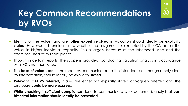# **Key Common Recommendations** <sup>33</sup> **by RVOs**

 **Identity** of the **valuer** and any **other expert** involved in valuation should ideally be **explicitly stated**. However, it is unclear as to whether the assignment is executed by the CA firm or the valuer in his/her individual capacity. This is largely because of the letterhead used and the reference used at multiple places.

- **Though in certain reports, the scope is provided, conducting valuation analysis in accordance** with IVS is not mentioned.
- The **base of value used** in the report as communicated to the intended user, though amply clear by interpretation, should ideally be **explicitly stated.**
- **Relevant ICAI VS referred**, if any, are either not explicitly stated or vaguely referred and the disclosure **could be more express**.
- **While checking** if **sufficient compliance** done to communicate work performed, analysis of **past historical information should ideally be presented.**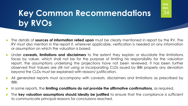# **Key Common Recommendations** <sup>34</sup> **by RVOs**

 The details of **sources of information relied upon** must be clearly mentioned in report by the RV. The RV must also mention in the report if, wherever applicable, verification is needed on any information or assumption on which the valuation is based.

- Under **caveats, limitations and disclaimers** to the extent they explain or elucidate the limitations faces by valuer, which shall not be for the purpose of limiting his responsibility for the valuation report, the assumptions underlying the projections have not been reviewed. It has been further observed that Valuers are still not using or incorporating CLDs issued by IBBI properly any deviation beyond the CLDs must be explained with reason/ justification.
- All generated reports must accompany with caveats, disclaimers and limitations as prescribed by IBBI.
- In some reports, the **limiting conditions do not provide the affirmative confirmations,** as required.
- The **key valuation assumptions should ideally be justified** to ensure that the compliance is sufficient to communicate principal reasons for conclusions reached.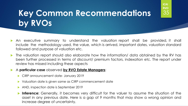# **Key Common Recommendations** <sup>35</sup> **by RVOs**

 An executive summary to understand the valuation report shall be provided, it shall include the methodology used, the value, which is arrived, important dates, valuation standard followed and purpose of valuation etc.

**ICAI RVO**

 The valuation report should also elaborate how the information/ data obtained by the RV has been further processed in terms of discount/ premium factors, indexation etc. The report under review has missed including these aspects

#### A **particular case** observed **by RVO Estate Managers**:

- **CIRP announcement date- January 2019**
- Valuation date is given same as CIRP commencement date
- AND, inspection date is September 2019
- **Inference:** Generally, it becomes very difficult for the valuer to assume the situation of the asset in any previous date. Here is a gap of 9 months that may show a wrong opinion and increase degree of uncertainty.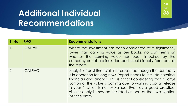# **Additional Individual** <sup>36</sup> **Recommendations**



| S. No | <b>RVO</b>      | <b>Recommendations</b>                                                                                                                                                                                                                                                                                                                                                                                                      |
|-------|-----------------|-----------------------------------------------------------------------------------------------------------------------------------------------------------------------------------------------------------------------------------------------------------------------------------------------------------------------------------------------------------------------------------------------------------------------------|
|       | <b>ICAI RVO</b> | Where the investment has been considered at a significantly<br>lower than carrying value as per books, no comments on<br>whether the carrying value has been impaired by the<br>company or not are included and should ideally form part of<br>the report.                                                                                                                                                                  |
|       | <b>ICAI RVO</b> | Analysis of past financials not presented though the company<br>is in operation for long now. Report needs to include historical<br>financials and analysis. This is critical considering that a large<br>portion of the value is coming due to working capital release<br>in year 1 which is not explained. Even as a good practice,<br>historic analysis may be included as part of the investigation<br>into the entity. |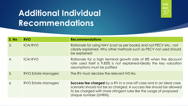# **Additional Individual** <sup>37</sup> **Recommendations**



| S. No            | <b>RVO</b>                 | <b>Recommendations</b>                                                                                                                                                                                                                   |
|------------------|----------------------------|------------------------------------------------------------------------------------------------------------------------------------------------------------------------------------------------------------------------------------------|
| $\mathcal{S}$ .  | <b>ICAI RVO</b>            | Rationale for using NAV (cost as per books) and not PECV etc., not<br>clearly explained. Why other methods such as PECV not used should<br>be explained                                                                                  |
| $\overline{4}$ . | <b>ICAI RVO</b>            | Rationale for a high terminal growth rate of 8% when the discount<br>rate used itself is 9.85% is not explained-Ideally the key valuation<br>assumptions must be justified                                                               |
| 5.               | <b>RVO Estate Managers</b> | The RV must declare the relevant IVS No.                                                                                                                                                                                                 |
| 6.               | RVO Estate Managers        | Success fee charged by a RV in a one-off case and in an ideal case<br>scenario should not be so charged. A success fee should be allowed<br>to be charged with more stringent rules like the usage of proposed<br>Unique number (UVRIN). |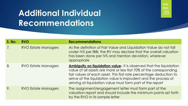# **Additional Individual** <sup>38</sup> **Recommendations**



| S. No | <b>RVO</b>                 | <b>Recommendations</b>                                                                                                                                                                                                                                                                                                                                 |
|-------|----------------------------|--------------------------------------------------------------------------------------------------------------------------------------------------------------------------------------------------------------------------------------------------------------------------------------------------------------------------------------------------------|
| 7.    | <b>RVO Estate Managers</b> | As the definition of Fair Value and Liquidation Value do not fall<br>under IVS per IBBI, the RV may declare that the overall valuation<br>has been done per IVS and mention deviation, wherever<br>appropriate                                                                                                                                         |
| 8.    | RVO Estate Managers        | <b>Ambiguity on liquidation value-</b> It is observed that the liquidation<br>value of all assets are more or less flat 70% of the corresponding<br>fair values of each asset. This flat rate percentage deduction to<br>arrive at the liquidation value is imprudent and the process of<br>arriving at liquidation value must form part of the report |
| 9.    | <b>RVO Estate Managers</b> | The assignment/engagement letter must form part of the<br>valuation report and should include the minimum points set forth<br>by the RVO in its sample letter                                                                                                                                                                                          |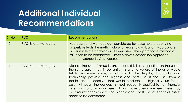# **Additional Individual** <sup>39</sup> **Recommendations**

**S. No RVO Recommendations** 10. RVO Estate Managers Approach and Methodology considered for lease hold property not properly reflects the methodology of leasehold valuation. Appropriate and suitable methodology not been used. The appropriate method of valuation to be considered. Direct Market Comparison Approach , Income Approach, Cost Approach. 11. RVO Estate Managers **Did not find use of HABU in any report.** This is a suggestion on the use of the same asset, most importantly this alternative use of the asset would fetch maximum value, which should be legally, financially and technically possible and highest and best use is the use, from a participant perspective, that would produce the highest value for an asset. Although the concept is most frequently applied to non-financial assets as many financial assets do not have alternative uses, there may be circumstances where the highest and best use of financial assets needs to be considered.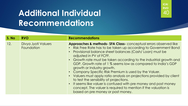# **Additional Individual** <sup>40</sup> **Recommendations**

#### **S. No RVO Recommendations** 12. Divya Jyoti Valuers **Foundation Approaches & methods- SFA Class-** conceptual errors observed like • Risk Free Rate has to be taken up according to Government Bond • Provisional balance sheet balances (Cash/ Loan) must be adjusted in PV of FCFF. • Growth rate must be taken according to the industrial growth and GDP. Growth rate of 1 % seems low as compared to India's GDP growth or Industry growth. • Company Specific Risk Premium is used by the Valuer. • Valuers must apply ratio analysis on projections provided by client to test the sensibility of projections. • It seems like valuer is confused with pre money and post money concept. The valuer is required to mention if the valuation is based on pre money or post money.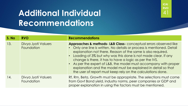# **Additional Individual** <sup>41</sup> **Recommendations**

**S. No RVO Recommendations** 13. Divya Jyoti Valuers **Foundation Approaches & methods- L&B Class-** conceptual errors observed like • Only one line is written. No details or process is mentioned. Detail explanation not there. Reason of the same is also required. • Loading of 3% but why was this done is not made clear. If any change is there, it has to have a logic as per the IVS. • As per the expert of L&B, the model must accompany with proper explanation and the model must be explained in detail so that the user of report must keep rely on the calculations done. 14. Divya Jyoti Valuers Foundation Rf, Rm, Beta, Growth must be appropriate. The selections must come from Govt Bond yield, industry norms, peer companies or GDP and proper explanation in using the factors must be mentioned.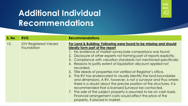# **Additional Individual** <sup>42</sup> **Recommendations**

#### **S. No RVO Recommendations** 15. **IOV Registered Valuers** Foundation **For Land & Building: Following were found to be missing and should ideally form part of the report** 1. No evidence of market survey/sale comparisons was found 2. Disclosure of other experts not forming part of reports explicitly. 3. Compliance with valuation standards not mentioned specifically 4. Reasons to justify extent of liquidation discount applied not recorded. 5. Title deeds of properties not verified at Registrar's office. 6. The RV has endeavored to visually identify the land boundaries and dimensions. A RV, however, is not a surveyor and thus where there is a doubt about the precise position of the structures, it is recommended that a licensed Surveyor be contacted. 7. The sale of the subject property is assumed to be on cash basis. Financial arrangement costs would affect the price of the property, if placed in market.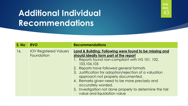# **Additional Individual** <sup>43</sup> **Recommendations**



| S. No | <b>RVO</b>                                  | <b>Recommendations</b>                                                                                                                                                                                                                                                                                                                                                                                                                                                              |
|-------|---------------------------------------------|-------------------------------------------------------------------------------------------------------------------------------------------------------------------------------------------------------------------------------------------------------------------------------------------------------------------------------------------------------------------------------------------------------------------------------------------------------------------------------------|
| 16.   | <b>IOV Registered Valuers</b><br>Foundation | Land & Building: Following were found to be missing and<br>should ideally form part of the report<br>1. Reports found non-compliant with IVS 101, 102,<br>103,104,105<br>2. Reports have followed general formats<br>3. Justification for adoption/rejection of a valuation<br>approach not properly documented.<br>4. Remarks given need to be more precisely and<br>accurately worded.<br>5. Investigation not done properly to determine the fair<br>value and liquidation value |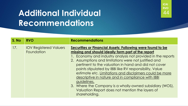# **Additional Individual** <sup>44</sup> **Recommendations**



| S. No | <b>RVO</b>                                  | <b>Recommendations</b>                                                                                                                                                                                                                                                                                                                                                                                                                                                                                                                                                                                                      |
|-------|---------------------------------------------|-----------------------------------------------------------------------------------------------------------------------------------------------------------------------------------------------------------------------------------------------------------------------------------------------------------------------------------------------------------------------------------------------------------------------------------------------------------------------------------------------------------------------------------------------------------------------------------------------------------------------------|
| 17.   | <b>IOV Registered Valuers</b><br>Foundation | Securities or Financial Assets: Following were found to be<br>missing and should ideally form part of the report<br>1. Economy and industry analysis not provided in the reports<br>2. Assumptions and limitations were not justified and<br>pertinent to the valuation in hand and did not cover<br>points stipulated by IBBI like RV responsibility, Value<br>estimate etc. Limitations and disclaimers could be more<br>descriptive in nature and in compliance with IBBI<br>guidelines.<br>3. Where the Company is a wholly-owned subsidiary (WOS),<br>Valuation Report does not mention the layers of<br>shareholding. |